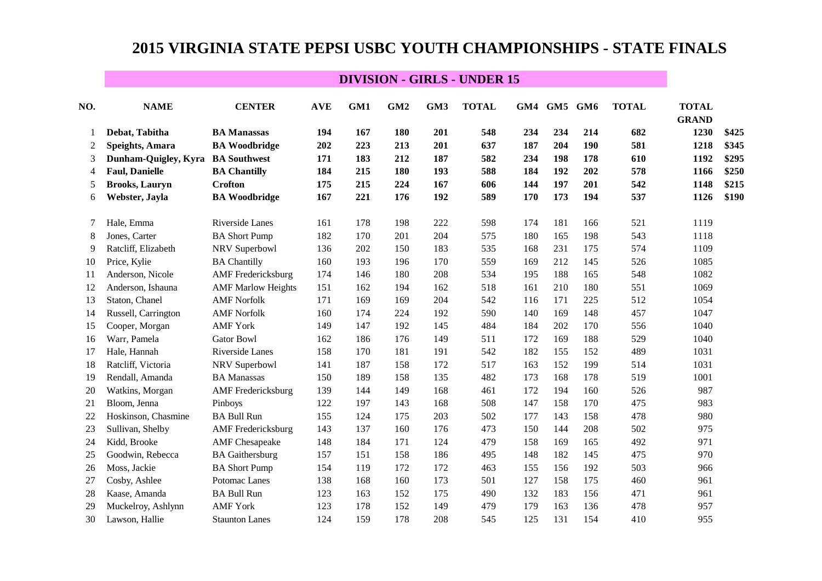| NO.            | <b>NAME</b>           | <b>CENTER</b>             | <b>AVE</b> | GM1 | GM <sub>2</sub> | GM3 | <b>TOTAL</b> | GM4 | GM5 | GM <sub>6</sub> | <b>TOTAL</b> | <b>TOTAL</b><br><b>GRAND</b> |       |
|----------------|-----------------------|---------------------------|------------|-----|-----------------|-----|--------------|-----|-----|-----------------|--------------|------------------------------|-------|
|                | Debat, Tabitha        | <b>BA Manassas</b>        | 194        | 167 | 180             | 201 | 548          | 234 | 234 | 214             | 682          | 1230                         | \$425 |
| $\overline{c}$ | Speights, Amara       | <b>BA Woodbridge</b>      | 202        | 223 | 213             | 201 | 637          | 187 | 204 | 190             | 581          | 1218                         | \$345 |
| 3              | Dunham-Quigley, Kyra  | <b>BA Southwest</b>       | 171        | 183 | 212             | 187 | 582          | 234 | 198 | 178             | 610          | 1192                         | \$295 |
| 4              | <b>Faul, Danielle</b> | <b>BA Chantilly</b>       | 184        | 215 | 180             | 193 | 588          | 184 | 192 | 202             | 578          | 1166                         | \$250 |
| 5              | <b>Brooks, Lauryn</b> | <b>Crofton</b>            | 175        | 215 | 224             | 167 | 606          | 144 | 197 | 201             | 542          | 1148                         | \$215 |
| 6              | Webster, Jayla        | <b>BA Woodbridge</b>      | 167        | 221 | 176             | 192 | 589          | 170 | 173 | 194             | 537          | 1126                         | \$190 |
| 7              | Hale, Emma            | Riverside Lanes           | 161        | 178 | 198             | 222 | 598          | 174 | 181 | 166             | 521          | 1119                         |       |
| 8              | Jones, Carter         | <b>BA Short Pump</b>      | 182        | 170 | 201             | 204 | 575          | 180 | 165 | 198             | 543          | 1118                         |       |
| 9              | Ratcliff, Elizabeth   | NRV Superbowl             | 136        | 202 | 150             | 183 | 535          | 168 | 231 | 175             | 574          | 1109                         |       |
| 10             | Price, Kylie          | <b>BA Chantilly</b>       | 160        | 193 | 196             | 170 | 559          | 169 | 212 | 145             | 526          | 1085                         |       |
| 11             | Anderson, Nicole      | <b>AMF</b> Fredericksburg | 174        | 146 | 180             | 208 | 534          | 195 | 188 | 165             | 548          | 1082                         |       |
| 12             | Anderson, Ishauna     | <b>AMF Marlow Heights</b> | 151        | 162 | 194             | 162 | 518          | 161 | 210 | 180             | 551          | 1069                         |       |
| 13             | Staton, Chanel        | <b>AMF</b> Norfolk        | 171        | 169 | 169             | 204 | 542          | 116 | 171 | 225             | 512          | 1054                         |       |
| 14             | Russell, Carrington   | <b>AMF Norfolk</b>        | 160        | 174 | 224             | 192 | 590          | 140 | 169 | 148             | 457          | 1047                         |       |
| 15             | Cooper, Morgan        | <b>AMF York</b>           | 149        | 147 | 192             | 145 | 484          | 184 | 202 | 170             | 556          | 1040                         |       |
| 16             | Warr, Pamela          | <b>Gator Bowl</b>         | 162        | 186 | 176             | 149 | 511          | 172 | 169 | 188             | 529          | 1040                         |       |
| 17             | Hale, Hannah          | Riverside Lanes           | 158        | 170 | 181             | 191 | 542          | 182 | 155 | 152             | 489          | 1031                         |       |
| 18             | Ratcliff, Victoria    | NRV Superbowl             | 141        | 187 | 158             | 172 | 517          | 163 | 152 | 199             | 514          | 1031                         |       |
| 19             | Rendall, Amanda       | <b>BA Manassas</b>        | 150        | 189 | 158             | 135 | 482          | 173 | 168 | 178             | 519          | 1001                         |       |
| 20             | Watkins, Morgan       | <b>AMF</b> Fredericksburg | 139        | 144 | 149             | 168 | 461          | 172 | 194 | 160             | 526          | 987                          |       |
| 21             | Bloom, Jenna          | Pinboys                   | 122        | 197 | 143             | 168 | 508          | 147 | 158 | 170             | 475          | 983                          |       |
| 22             | Hoskinson, Chasmine   | <b>BA Bull Run</b>        | 155        | 124 | 175             | 203 | 502          | 177 | 143 | 158             | 478          | 980                          |       |
| 23             | Sullivan, Shelby      | <b>AMF</b> Fredericksburg | 143        | 137 | 160             | 176 | 473          | 150 | 144 | 208             | 502          | 975                          |       |
| 24             | Kidd, Brooke          | <b>AMF</b> Chesapeake     | 148        | 184 | 171             | 124 | 479          | 158 | 169 | 165             | 492          | 971                          |       |
| 25             | Goodwin, Rebecca      | <b>BA</b> Gaithersburg    | 157        | 151 | 158             | 186 | 495          | 148 | 182 | 145             | 475          | 970                          |       |
| 26             | Moss, Jackie          | <b>BA Short Pump</b>      | 154        | 119 | 172             | 172 | 463          | 155 | 156 | 192             | 503          | 966                          |       |
| 27             | Cosby, Ashlee         | Potomac Lanes             | 138        | 168 | 160             | 173 | 501          | 127 | 158 | 175             | 460          | 961                          |       |
| 28             | Kaase, Amanda         | <b>BA Bull Run</b>        | 123        | 163 | 152             | 175 | 490          | 132 | 183 | 156             | 471          | 961                          |       |
| 29             | Muckelroy, Ashlynn    | <b>AMF York</b>           | 123        | 178 | 152             | 149 | 479          | 179 | 163 | 136             | 478          | 957                          |       |
| 30             | Lawson, Hallie        | <b>Staunton Lanes</b>     | 124        | 159 | 178             | 208 | 545          | 125 | 131 | 154             | 410          | 955                          |       |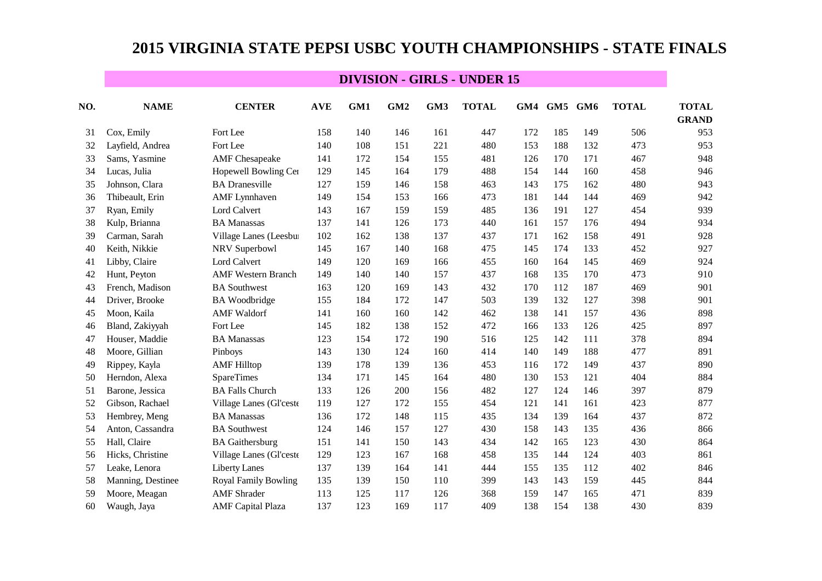| NO. | <b>NAME</b>       | <b>CENTER</b>               | <b>AVE</b> | GM1 | GM <sub>2</sub> | GM3 | <b>TOTAL</b> | GM4 | GM5 | GM <sub>6</sub> | <b>TOTAL</b> | <b>TOTAL</b> |
|-----|-------------------|-----------------------------|------------|-----|-----------------|-----|--------------|-----|-----|-----------------|--------------|--------------|
|     |                   |                             |            |     |                 |     |              |     |     |                 |              | <b>GRAND</b> |
| 31  | Cox, Emily        | Fort Lee                    | 158        | 140 | 146             | 161 | 447          | 172 | 185 | 149             | 506          | 953          |
| 32  | Layfield, Andrea  | Fort Lee                    | 140        | 108 | 151             | 221 | 480          | 153 | 188 | 132             | 473          | 953          |
| 33  | Sams, Yasmine     | <b>AMF</b> Chesapeake       | 141        | 172 | 154             | 155 | 481          | 126 | 170 | 171             | 467          | 948          |
| 34  | Lucas, Julia      | Hopewell Bowling Cer        | 129        | 145 | 164             | 179 | 488          | 154 | 144 | 160             | 458          | 946          |
| 35  | Johnson, Clara    | <b>BA</b> Dranesville       | 127        | 159 | 146             | 158 | 463          | 143 | 175 | 162             | 480          | 943          |
| 36  | Thibeault, Erin   | <b>AMF</b> Lynnhaven        | 149        | 154 | 153             | 166 | 473          | 181 | 144 | 144             | 469          | 942          |
| 37  | Ryan, Emily       | Lord Calvert                | 143        | 167 | 159             | 159 | 485          | 136 | 191 | 127             | 454          | 939          |
| 38  | Kulp, Brianna     | <b>BA</b> Manassas          | 137        | 141 | 126             | 173 | 440          | 161 | 157 | 176             | 494          | 934          |
| 39  | Carman, Sarah     | Village Lanes (Leesbu       | 102        | 162 | 138             | 137 | 437          | 171 | 162 | 158             | 491          | 928          |
| 40  | Keith, Nikkie     | NRV Superbowl               | 145        | 167 | 140             | 168 | 475          | 145 | 174 | 133             | 452          | 927          |
| 41  | Libby, Claire     | Lord Calvert                | 149        | 120 | 169             | 166 | 455          | 160 | 164 | 145             | 469          | 924          |
| 42  | Hunt, Peyton      | <b>AMF</b> Western Branch   | 149        | 140 | 140             | 157 | 437          | 168 | 135 | 170             | 473          | 910          |
| 43  | French, Madison   | <b>BA</b> Southwest         | 163        | 120 | 169             | 143 | 432          | 170 | 112 | 187             | 469          | 901          |
| 44  | Driver, Brooke    | <b>BA</b> Woodbridge        | 155        | 184 | 172             | 147 | 503          | 139 | 132 | 127             | 398          | 901          |
| 45  | Moon, Kaila       | <b>AMF</b> Waldorf          | 141        | 160 | 160             | 142 | 462          | 138 | 141 | 157             | 436          | 898          |
| 46  | Bland, Zakiyyah   | Fort Lee                    | 145        | 182 | 138             | 152 | 472          | 166 | 133 | 126             | 425          | 897          |
| 47  | Houser, Maddie    | <b>BA</b> Manassas          | 123        | 154 | 172             | 190 | 516          | 125 | 142 | 111             | 378          | 894          |
| 48  | Moore, Gillian    | Pinboys                     | 143        | 130 | 124             | 160 | 414          | 140 | 149 | 188             | 477          | 891          |
| 49  | Rippey, Kayla     | <b>AMF</b> Hilltop          | 139        | 178 | 139             | 136 | 453          | 116 | 172 | 149             | 437          | 890          |
| 50  | Herndon, Alexa    | <b>SpareTimes</b>           | 134        | 171 | 145             | 164 | 480          | 130 | 153 | 121             | 404          | 884          |
| 51  | Barone, Jessica   | <b>BA Falls Church</b>      | 133        | 126 | 200             | 156 | 482          | 127 | 124 | 146             | 397          | 879          |
| 52  | Gibson, Rachael   | Village Lanes (Gl'ceste     | 119        | 127 | 172             | 155 | 454          | 121 | 141 | 161             | 423          | 877          |
| 53  | Hembrey, Meng     | <b>BA</b> Manassas          | 136        | 172 | 148             | 115 | 435          | 134 | 139 | 164             | 437          | 872          |
| 54  | Anton, Cassandra  | <b>BA</b> Southwest         | 124        | 146 | 157             | 127 | 430          | 158 | 143 | 135             | 436          | 866          |
| 55  | Hall, Claire      | <b>BA</b> Gaithersburg      | 151        | 141 | 150             | 143 | 434          | 142 | 165 | 123             | 430          | 864          |
| 56  | Hicks, Christine  | Village Lanes (Gl'ceste     | 129        | 123 | 167             | 168 | 458          | 135 | 144 | 124             | 403          | 861          |
| 57  | Leake, Lenora     | <b>Liberty Lanes</b>        | 137        | 139 | 164             | 141 | 444          | 155 | 135 | 112             | 402          | 846          |
| 58  | Manning, Destinee | <b>Royal Family Bowling</b> | 135        | 139 | 150             | 110 | 399          | 143 | 143 | 159             | 445          | 844          |
| 59  | Moore, Meagan     | <b>AMF</b> Shrader          | 113        | 125 | 117             | 126 | 368          | 159 | 147 | 165             | 471          | 839          |
| 60  | Waugh, Jaya       | <b>AMF</b> Capital Plaza    | 137        | 123 | 169             | 117 | 409          | 138 | 154 | 138             | 430          | 839          |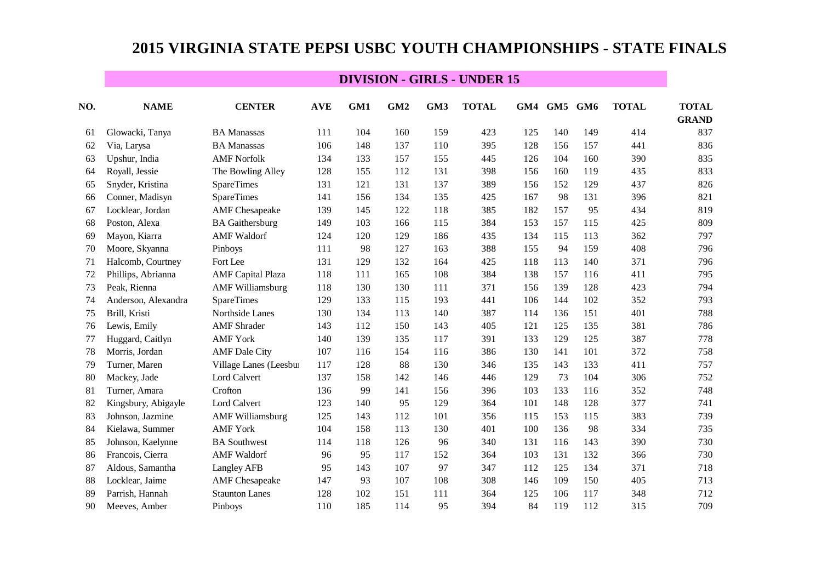| NO. | <b>NAME</b>         | <b>CENTER</b>            | <b>AVE</b> | GM1 | GM <sub>2</sub> | GM3 | <b>TOTAL</b> | GM4 | GM5 | GM <sub>6</sub> | <b>TOTAL</b> | <b>TOTAL</b> |
|-----|---------------------|--------------------------|------------|-----|-----------------|-----|--------------|-----|-----|-----------------|--------------|--------------|
|     |                     |                          |            |     |                 |     |              |     |     |                 |              | <b>GRAND</b> |
| 61  | Glowacki, Tanya     | <b>BA Manassas</b>       | 111        | 104 | 160             | 159 | 423          | 125 | 140 | 149             | 414          | 837          |
| 62  | Via, Larysa         | <b>BA Manassas</b>       | 106        | 148 | 137             | 110 | 395          | 128 | 156 | 157             | 441          | 836          |
| 63  | Upshur, India       | <b>AMF Norfolk</b>       | 134        | 133 | 157             | 155 | 445          | 126 | 104 | 160             | 390          | 835          |
| 64  | Royall, Jessie      | The Bowling Alley        | 128        | 155 | 112             | 131 | 398          | 156 | 160 | 119             | 435          | 833          |
| 65  | Snyder, Kristina    | <b>SpareTimes</b>        | 131        | 121 | 131             | 137 | 389          | 156 | 152 | 129             | 437          | 826          |
| 66  | Conner, Madisyn     | <b>SpareTimes</b>        | 141        | 156 | 134             | 135 | 425          | 167 | 98  | 131             | 396          | 821          |
| 67  | Locklear, Jordan    | <b>AMF</b> Chesapeake    | 139        | 145 | 122             | 118 | 385          | 182 | 157 | 95              | 434          | 819          |
| 68  | Poston, Alexa       | <b>BA</b> Gaithersburg   | 149        | 103 | 166             | 115 | 384          | 153 | 157 | 115             | 425          | 809          |
| 69  | Mayon, Kiarra       | <b>AMF</b> Waldorf       | 124        | 120 | 129             | 186 | 435          | 134 | 115 | 113             | 362          | 797          |
| 70  | Moore, Skyanna      | Pinboys                  | 111        | 98  | 127             | 163 | 388          | 155 | 94  | 159             | 408          | 796          |
| 71  | Halcomb, Courtney   | Fort Lee                 | 131        | 129 | 132             | 164 | 425          | 118 | 113 | 140             | 371          | 796          |
| 72  | Phillips, Abrianna  | <b>AMF</b> Capital Plaza | 118        | 111 | 165             | 108 | 384          | 138 | 157 | 116             | 411          | 795          |
| 73  | Peak, Rienna        | <b>AMF Williamsburg</b>  | 118        | 130 | 130             | 111 | 371          | 156 | 139 | 128             | 423          | 794          |
| 74  | Anderson, Alexandra | <b>SpareTimes</b>        | 129        | 133 | 115             | 193 | 441          | 106 | 144 | 102             | 352          | 793          |
| 75  | Brill, Kristi       | Northside Lanes          | 130        | 134 | 113             | 140 | 387          | 114 | 136 | 151             | 401          | 788          |
| 76  | Lewis, Emily        | <b>AMF</b> Shrader       | 143        | 112 | 150             | 143 | 405          | 121 | 125 | 135             | 381          | 786          |
| 77  | Huggard, Caitlyn    | <b>AMF York</b>          | 140        | 139 | 135             | 117 | 391          | 133 | 129 | 125             | 387          | 778          |
| 78  | Morris, Jordan      | <b>AMF</b> Dale City     | 107        | 116 | 154             | 116 | 386          | 130 | 141 | 101             | 372          | 758          |
| 79  | Turner, Maren       | Village Lanes (Leesbur   | 117        | 128 | 88              | 130 | 346          | 135 | 143 | 133             | 411          | 757          |
| 80  | Mackey, Jade        | Lord Calvert             | 137        | 158 | 142             | 146 | 446          | 129 | 73  | 104             | 306          | 752          |
| 81  | Turner, Amara       | Crofton                  | 136        | 99  | 141             | 156 | 396          | 103 | 133 | 116             | 352          | 748          |
| 82  | Kingsbury, Abigayle | Lord Calvert             | 123        | 140 | 95              | 129 | 364          | 101 | 148 | 128             | 377          | 741          |
| 83  | Johnson, Jazmine    | <b>AMF Williamsburg</b>  | 125        | 143 | 112             | 101 | 356          | 115 | 153 | 115             | 383          | 739          |
| 84  | Kielawa, Summer     | <b>AMF York</b>          | 104        | 158 | 113             | 130 | 401          | 100 | 136 | 98              | 334          | 735          |
| 85  | Johnson, Kaelynne   | <b>BA</b> Southwest      | 114        | 118 | 126             | 96  | 340          | 131 | 116 | 143             | 390          | 730          |
| 86  | Francois, Cierra    | <b>AMF</b> Waldorf       | 96         | 95  | 117             | 152 | 364          | 103 | 131 | 132             | 366          | 730          |
| 87  | Aldous, Samantha    | Langley AFB              | 95         | 143 | 107             | 97  | 347          | 112 | 125 | 134             | 371          | 718          |
| 88  | Locklear, Jaime     | <b>AMF</b> Chesapeake    | 147        | 93  | 107             | 108 | 308          | 146 | 109 | 150             | 405          | 713          |
| 89  | Parrish, Hannah     | <b>Staunton Lanes</b>    | 128        | 102 | 151             | 111 | 364          | 125 | 106 | 117             | 348          | 712          |
| 90  | Meeves, Amber       | Pinboys                  | 110        | 185 | 114             | 95  | 394          | 84  | 119 | 112             | 315          | 709          |